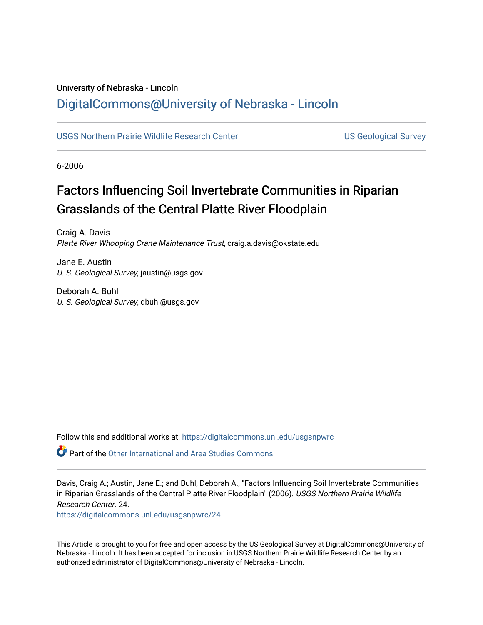## University of Nebraska - Lincoln [DigitalCommons@University of Nebraska - Lincoln](https://digitalcommons.unl.edu/)

## [USGS Northern Prairie Wildlife Research Center](https://digitalcommons.unl.edu/usgsnpwrc) New York Content Content US Geological Survey

6-2006

# Factors Influencing Soil Invertebrate Communities in Riparian Grasslands of the Central Platte River Floodplain

Craig A. Davis Platte River Whooping Crane Maintenance Trust, craig.a.davis@okstate.edu

Jane E. Austin U. S. Geological Survey, jaustin@usgs.gov

Deborah A. Buhl U. S. Geological Survey, dbuhl@usgs.gov

Follow this and additional works at: [https://digitalcommons.unl.edu/usgsnpwrc](https://digitalcommons.unl.edu/usgsnpwrc?utm_source=digitalcommons.unl.edu%2Fusgsnpwrc%2F24&utm_medium=PDF&utm_campaign=PDFCoverPages)

 $\bullet$  Part of the [Other International and Area Studies Commons](http://network.bepress.com/hgg/discipline/365?utm_source=digitalcommons.unl.edu%2Fusgsnpwrc%2F24&utm_medium=PDF&utm_campaign=PDFCoverPages)

Davis, Craig A.; Austin, Jane E.; and Buhl, Deborah A., "Factors Influencing Soil Invertebrate Communities in Riparian Grasslands of the Central Platte River Floodplain" (2006). USGS Northern Prairie Wildlife Research Center. 24.

[https://digitalcommons.unl.edu/usgsnpwrc/24](https://digitalcommons.unl.edu/usgsnpwrc/24?utm_source=digitalcommons.unl.edu%2Fusgsnpwrc%2F24&utm_medium=PDF&utm_campaign=PDFCoverPages) 

This Article is brought to you for free and open access by the US Geological Survey at DigitalCommons@University of Nebraska - Lincoln. It has been accepted for inclusion in USGS Northern Prairie Wildlife Research Center by an authorized administrator of DigitalCommons@University of Nebraska - Lincoln.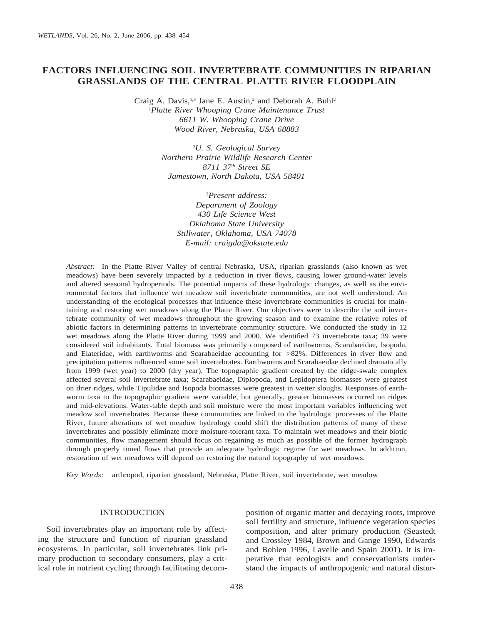### **FACTORS INFLUENCING SOIL INVERTEBRATE COMMUNITIES IN RIPARIAN GRASSLANDS OF THE CENTRAL PLATTE RIVER FLOODPLAIN**

Craig A. Davis,<sup>1,3</sup> Jane E. Austin,<sup>2</sup> and Deborah A. Buhl<sup>2</sup> 1 *Platte River Whooping Crane Maintenance Trust 6611 W. Whooping Crane Drive Wood River, Nebraska, USA 68883*

> 2 *U. S. Geological Survey Northern Prairie Wildlife Research Center 8711 37th Street SE Jamestown, North Dakota, USA 58401*

> > 3 *Present address: Department of Zoology 430 Life Science West Oklahoma State University Stillwater, Oklahoma, USA 74078 E-mail: craigda@okstate.edu*

*Abstract:* In the Platte River Valley of central Nebraska, USA, riparian grasslands (also known as wet meadows) have been severely impacted by a reduction in river flows, causing lower ground-water levels and altered seasonal hydroperiods. The potential impacts of these hydrologic changes, as well as the environmental factors that influence wet meadow soil invertebrate communities, are not well understood. An understanding of the ecological processes that influence these invertebrate communities is crucial for maintaining and restoring wet meadows along the Platte River. Our objectives were to describe the soil invertebrate community of wet meadows throughout the growing season and to examine the relative roles of abiotic factors in determining patterns in invertebrate community structure. We conducted the study in 12 wet meadows along the Platte River during 1999 and 2000. We identified 73 invertebrate taxa; 39 were considered soil inhabitants. Total biomass was primarily composed of earthworms, Scarabaeidae, Isopoda, and Elateridae, with earthworms and Scarabaeidae accounting for >82%. Differences in river flow and precipitation patterns influenced some soil invertebrates. Earthworms and Scarabaeidae declined dramatically from 1999 (wet year) to 2000 (dry year). The topographic gradient created by the ridge-swale complex affected several soil invertebrate taxa; Scarabaeidae, Diplopoda, and Lepidoptera biomasses were greatest on drier ridges, while Tipulidae and Isopoda biomasses were greatest in wetter sloughs. Responses of earthworm taxa to the topographic gradient were variable, but generally, greater biomasses occurred on ridges and mid-elevations. Water-table depth and soil moisture were the most important variables influencing wet meadow soil invertebrates. Because these communities are linked to the hydrologic processes of the Platte River, future alterations of wet meadow hydrology could shift the distribution patterns of many of these invertebrates and possibly eliminate more moisture-tolerant taxa. To maintain wet meadows and their biotic communities, flow management should focus on regaining as much as possible of the former hydrograph through properly timed flows that provide an adequate hydrologic regime for wet meadows. In addition, restoration of wet meadows will depend on restoring the natural topography of wet meadows.

*Key Words:* arthropod, riparian grassland, Nebraska, Platte River, soil invertebrate, wet meadow

#### INTRODUCTION

Soil invertebrates play an important role by affecting the structure and function of riparian grassland ecosystems. In particular, soil invertebrates link primary production to secondary consumers, play a critical role in nutrient cycling through facilitating decomposition of organic matter and decaying roots, improve soil fertility and structure, influence vegetation species composition, and alter primary production (Seastedt and Crossley 1984, Brown and Gange 1990, Edwards and Bohlen 1996, Lavelle and Spain 2001). It is imperative that ecologists and conservationists understand the impacts of anthropogenic and natural distur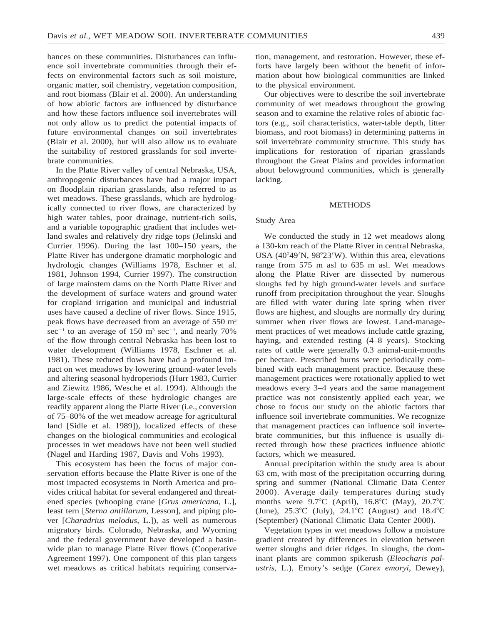bances on these communities. Disturbances can influence soil invertebrate communities through their effects on environmental factors such as soil moisture, organic matter, soil chemistry, vegetation composition, and root biomass (Blair et al. 2000). An understanding of how abiotic factors are influenced by disturbance and how these factors influence soil invertebrates will not only allow us to predict the potential impacts of future environmental changes on soil invertebrates (Blair et al. 2000), but will also allow us to evaluate the suitability of restored grasslands for soil invertebrate communities.

In the Platte River valley of central Nebraska, USA, anthropogenic disturbances have had a major impact on floodplain riparian grasslands, also referred to as wet meadows. These grasslands, which are hydrologically connected to river flows, are characterized by high water tables, poor drainage, nutrient-rich soils, and a variable topographic gradient that includes wetland swales and relatively dry ridge tops (Jelinski and Currier 1996). During the last 100–150 years, the Platte River has undergone dramatic morphologic and hydrologic changes (Williams 1978, Eschner et al. 1981, Johnson 1994, Currier 1997). The construction of large mainstem dams on the North Platte River and the development of surface waters and ground water for cropland irrigation and municipal and industrial uses have caused a decline of river flows. Since 1915, peak flows have decreased from an average of 550 m<sup>3</sup> sec<sup>-1</sup> to an average of 150 m<sup>3</sup> sec<sup>-1</sup>, and nearly 70% of the flow through central Nebraska has been lost to water development (Williams 1978, Eschner et al. 1981). These reduced flows have had a profound impact on wet meadows by lowering ground-water levels and altering seasonal hydroperiods (Hurr 1983, Currier and Ziewitz 1986, Wesche et al. 1994). Although the large-scale effects of these hydrologic changes are readily apparent along the Platte River (i.e., conversion of 75–80% of the wet meadow acreage for agricultural land [Sidle et al. 1989]), localized effects of these changes on the biological communities and ecological processes in wet meadows have not been well studied (Nagel and Harding 1987, Davis and Vohs 1993).

This ecosystem has been the focus of major conservation efforts because the Platte River is one of the most impacted ecosystems in North America and provides critical habitat for several endangered and threatened species (whooping crane [*Grus americana*, L.], least tern [*Sterna antillarum*, Lesson], and piping plover [*Charadrius melodus*, L.]), as well as numerous migratory birds. Colorado, Nebraska, and Wyoming and the federal government have developed a basinwide plan to manage Platte River flows (Cooperative Agreement 1997). One component of this plan targets wet meadows as critical habitats requiring conservation, management, and restoration. However, these efforts have largely been without the benefit of information about how biological communities are linked to the physical environment.

Our objectives were to describe the soil invertebrate community of wet meadows throughout the growing season and to examine the relative roles of abiotic factors (e.g., soil characteristics, water-table depth, litter biomass, and root biomass) in determining patterns in soil invertebrate community structure. This study has implications for restoration of riparian grasslands throughout the Great Plains and provides information about belowground communities, which is generally lacking.

#### METHODS

#### Study Area

We conducted the study in 12 wet meadows along a 130-km reach of the Platte River in central Nebraska, USA  $(40^{\circ}49^{\prime})$ N,  $98^{\circ}23^{\prime}$ W). Within this area, elevations range from 575 m asl to 635 m asl. Wet meadows along the Platte River are dissected by numerous sloughs fed by high ground-water levels and surface runoff from precipitation throughout the year. Sloughs are filled with water during late spring when river flows are highest, and sloughs are normally dry during summer when river flows are lowest. Land-management practices of wet meadows include cattle grazing, haying, and extended resting (4–8 years). Stocking rates of cattle were generally 0.3 animal-unit-months per hectare. Prescribed burns were periodically combined with each management practice. Because these management practices were rotationally applied to wet meadows every 3–4 years and the same management practice was not consistently applied each year, we chose to focus our study on the abiotic factors that influence soil invertebrate communities. We recognize that management practices can influence soil invertebrate communities, but this influence is usually directed through how these practices influence abiotic factors, which we measured.

Annual precipitation within the study area is about 63 cm, with most of the precipitation occurring during spring and summer (National Climatic Data Center 2000). Average daily temperatures during study months were  $9.7^{\circ}$ C (April), 16.8°C (May), 20.7°C (June),  $25.3^{\circ}$ C (July),  $24.1^{\circ}$ C (August) and  $18.4^{\circ}$ C (September) (National Climatic Data Center 2000).

Vegetation types in wet meadows follow a moisture gradient created by differences in elevation between wetter sloughs and drier ridges. In sloughs, the dominant plants are common spikerush (*Eleocharis palustris*, L.), Emory's sedge (*Carex emoryi*, Dewey),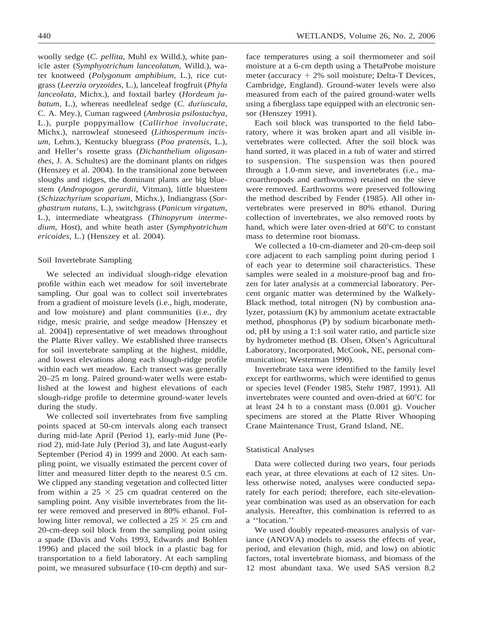woolly sedge (*C. pellita*, Muhl ex Willd.), white panicle aster (*Symphyotrichum lanceolatum*, Willd.), water knotweed (*Polygonum amphibium*, L.), rice cutgrass (*Leerzia oryzoides*, L.), lanceleaf frogfruit (*Phyla lanceolata*, Michx.), and foxtail barley (*Hordeum jubatum*, L.), whereas needleleaf sedge (*C. duriuscula*, C. A. Mey.), Cuman ragweed (*Ambrosia psilostachya*, L.), purple poppymallow (*Callirhoe involucrate*, Michx.), narrowleaf stoneseed (*Lithospermum incisum*, Lehm.), Kentucky bluegrass (*Poa pratensis*, L.), and Heller's rosette grass (*Dichanthelium oligosanthes*, J. A. Schultes) are the dominant plants on ridges (Henszey et al. 2004). In the transitional zone between sloughs and ridges, the dominant plants are big bluestem (*Andropogon gerardii*, Vitman), little bluestem (*Schizachyrium scoparium*, Michx.), Indiangrass (*Sorghastrum nutans*, L.), switchgrass (*Panicum virgatum*, L.), intermediate wheatgrass (*Thinopyrum intermedium*, Host), and white heath aster (*Symphyotrichum ericoides*, L.) (Henszey et al. 2004).

#### Soil Invertebrate Sampling

We selected an individual slough-ridge elevation profile within each wet meadow for soil invertebrate sampling. Our goal was to collect soil invertebrates from a gradient of moisture levels (i.e., high, moderate, and low moisture) and plant communities (i.e., dry ridge, mesic prairie, and sedge meadow [Henszey et al. 2004]) representative of wet meadows throughout the Platte River valley. We established three transects for soil invertebrate sampling at the highest, middle, and lowest elevations along each slough-ridge profile within each wet meadow. Each transect was generally 20–25 m long. Paired ground-water wells were established at the lowest and highest elevations of each slough-ridge profile to determine ground-water levels during the study.

We collected soil invertebrates from five sampling points spaced at 50-cm intervals along each transect during mid-late April (Period 1), early-mid June (Period 2), mid-late July (Period 3), and late August-early September (Period 4) in 1999 and 2000. At each sampling point, we visually estimated the percent cover of litter and measured litter depth to the nearest 0.5 cm. We clipped any standing vegetation and collected litter from within a  $25 \times 25$  cm quadrat centered on the sampling point. Any visible invertebrates from the litter were removed and preserved in 80% ethanol. Following litter removal, we collected a  $25 \times 25$  cm and 20-cm-deep soil block from the sampling point using a spade (Davis and Vohs 1993, Edwards and Bohlen 1996) and placed the soil block in a plastic bag for transportation to a field laboratory. At each sampling point, we measured subsurface (10-cm depth) and surface temperatures using a soil thermometer and soil moisture at a 6-cm depth using a ThetaProbe moisture meter (accuracy  $+ 2\%$  soil moisture; Delta-T Devices, Cambridge, England). Ground-water levels were also measured from each of the paired ground-water wells using a fiberglass tape equipped with an electronic sensor (Henszey 1991).

Each soil block was transported to the field laboratory, where it was broken apart and all visible invertebrates were collected. After the soil block was hand sorted, it was placed in a tub of water and stirred to suspension. The suspension was then poured through a 1.0-mm sieve, and invertebrates (i.e., macroarthropods and earthworms) retained on the sieve were removed. Earthworms were preserved following the method described by Fender (1985). All other invertebrates were preserved in 80% ethanol. During collection of invertebrates, we also removed roots by hand, which were later oven-dried at  $60^{\circ}$ C to constant mass to determine root biomass.

We collected a 10-cm-diameter and 20-cm-deep soil core adjacent to each sampling point during period 1 of each year to determine soil characteristics. These samples were sealed in a moisture-proof bag and frozen for later analysis at a commercial laboratory. Percent organic matter was determined by the Walkely-Black method, total nitrogen (N) by combustion analyzer, potassium (K) by ammonium acetate extractable method, phosphorus (P) by sodium bicarbonate method, pH by using a 1:1 soil water ratio, and particle size by hydrometer method (B. Olsen, Olsen's Agricultural Laboratory, Incorporated, McCook, NE, personal communication; Westerman 1990).

Invertebrate taxa were identified to the family level except for earthworms, which were identified to genus or species level (Fender 1985, Stehr 1987, 1991). All invertebrates were counted and oven-dried at  $60^{\circ}$ C for at least 24 h to a constant mass (0.001 g). Voucher specimens are stored at the Platte River Whooping Crane Maintenance Trust, Grand Island, NE.

#### Statistical Analyses

Data were collected during two years, four periods each year, at three elevations at each of 12 sites. Unless otherwise noted, analyses were conducted separately for each period; therefore, each site-elevationyear combination was used as an observation for each analysis. Hereafter, this combination is referred to as a ''location.''

We used doubly repeated-measures analysis of variance (ANOVA) models to assess the effects of year, period, and elevation (high, mid, and low) on abiotic factors, total invertebrate biomass, and biomass of the 12 most abundant taxa. We used SAS version 8.2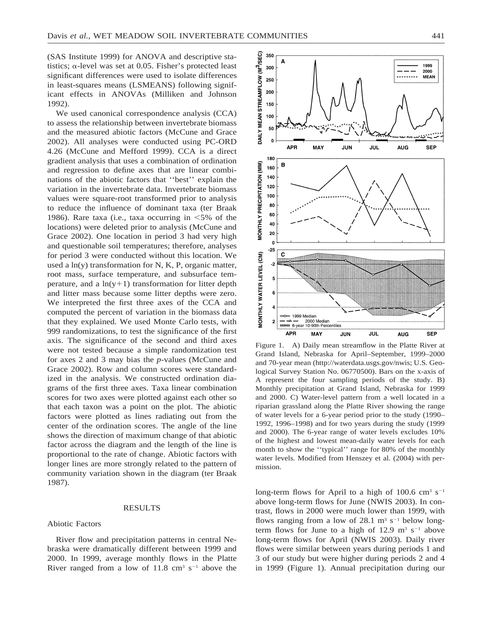(SAS Institute 1999) for ANOVA and descriptive statistics;  $\alpha$ -level was set at 0.05. Fisher's protected least significant differences were used to isolate differences in least-squares means (LSMEANS) following significant effects in ANOVAs (Milliken and Johnson 1992).

We used canonical correspondence analysis (CCA) to assess the relationship between invertebrate biomass and the measured abiotic factors (McCune and Grace 2002). All analyses were conducted using PC-ORD 4.26 (McCune and Mefford 1999). CCA is a direct gradient analysis that uses a combination of ordination and regression to define axes that are linear combinations of the abiotic factors that ''best'' explain the variation in the invertebrate data. Invertebrate biomass values were square-root transformed prior to analysis to reduce the influence of dominant taxa (ter Braak 1986). Rare taxa (i.e., taxa occurring in  $\leq 5\%$  of the locations) were deleted prior to analysis (McCune and Grace 2002). One location in period 3 had very high and questionable soil temperatures; therefore, analyses for period 3 were conducted without this location. We used a ln(y) transformation for N, K, P, organic matter, root mass, surface temperature, and subsurface temperature, and a  $ln(y+1)$  transformation for litter depth and litter mass because some litter depths were zero. We interpreted the first three axes of the CCA and computed the percent of variation in the biomass data that they explained. We used Monte Carlo tests, with 999 randomizations, to test the significance of the first axis. The significance of the second and third axes were not tested because a simple randomization test for axes 2 and 3 may bias the *p*-values (McCune and Grace 2002). Row and column scores were standardized in the analysis. We constructed ordination diagrams of the first three axes. Taxa linear combination scores for two axes were plotted against each other so that each taxon was a point on the plot. The abiotic factors were plotted as lines radiating out from the center of the ordination scores. The angle of the line shows the direction of maximum change of that abiotic factor across the diagram and the length of the line is proportional to the rate of change. Abiotic factors with longer lines are more strongly related to the pattern of community variation shown in the diagram (ter Braak 1987).

#### RESULTS

#### Abiotic Factors

River flow and precipitation patterns in central Nebraska were dramatically different between 1999 and 2000. In 1999, average monthly flows in the Platte River ranged from a low of 11.8 cm<sup>3</sup> s<sup>-1</sup> above the



Figure 1. A) Daily mean streamflow in the Platte River at Grand Island, Nebraska for April–September, 1999–2000 and 70-year mean (http://waterdata.usgs.gov/nwis; U.S. Geological Survey Station No. 06770500). Bars on the x-axis of A represent the four sampling periods of the study. B) Monthly precipitation at Grand Island, Nebraska for 1999 and 2000. C) Water-level pattern from a well located in a riparian grassland along the Platte River showing the range of water levels for a 6-year period prior to the study (1990– 1992, 1996–1998) and for two years during the study (1999 and 2000). The 6-year range of water levels excludes 10% of the highest and lowest mean-daily water levels for each month to show the ''typical'' range for 80% of the monthly water levels. Modified from Henszey et al. (2004) with permission.

long-term flows for April to a high of 100.6 cm<sup>3</sup> s<sup>-1</sup> above long-term flows for June (NWIS 2003). In contrast, flows in 2000 were much lower than 1999, with flows ranging from a low of 28.1  $m^3$  s<sup>-1</sup> below longterm flows for June to a high of 12.9  $m^3$  s<sup>-1</sup> above long-term flows for April (NWIS 2003). Daily river flows were similar between years during periods 1 and 3 of our study but were higher during periods 2 and 4 in 1999 (Figure 1). Annual precipitation during our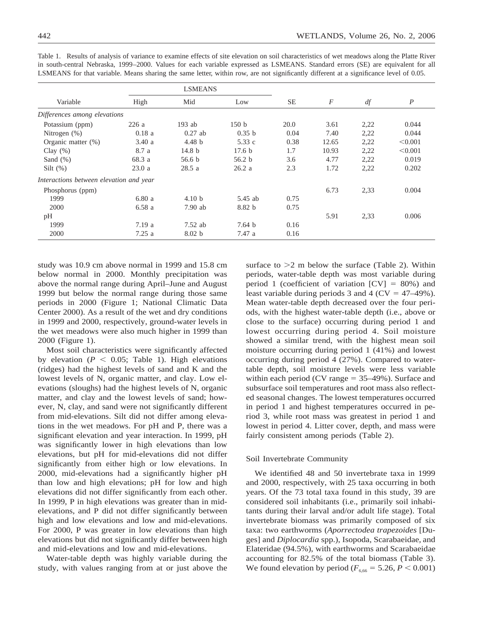|                                         |        | <b>LSMEANS</b>    |                   |      |                  |      |                  |
|-----------------------------------------|--------|-------------------|-------------------|------|------------------|------|------------------|
| Variable                                | High   | Mid               | Low               | SE   | $\boldsymbol{F}$ | df   | $\boldsymbol{P}$ |
| Differences among elevations            |        |                   |                   |      |                  |      |                  |
| Potassium (ppm)                         | 226a   | $193$ ab          | 150 <sub>b</sub>  | 20.0 | 3.61             | 2,22 | 0.044            |
| Nitrogen $(\%)$                         | 0.18a  | $0.27$ ab         | 0.35 h            | 0.04 | 7.40             | 2,22 | 0.044            |
| Organic matter $(\%)$                   | 3.40a  | 4.48 <sub>b</sub> | 5.33 c            | 0.38 | 12.65            | 2,22 | < 0.001          |
| Clay $(\%)$                             | 8.7 a  | 14.8 <sub>b</sub> | 17.6 <sub>b</sub> | 1.7  | 10.93            | 2,22 | < 0.001          |
| Sand $(\%)$                             | 68.3 a | 56.6 <sub>b</sub> | 56.2 <sub>b</sub> | 3.6  | 4.77             | 2,22 | 0.019            |
| Silt $(\%)$                             | 23.0a  | 28.5a             | 26.2a             | 2.3  | 1.72             | 2,22 | 0.202            |
| Interactions between elevation and year |        |                   |                   |      |                  |      |                  |
| Phosphorus (ppm)                        |        |                   |                   |      | 6.73             | 2,33 | 0.004            |
| 1999                                    | 6.80a  | 4.10 b            | 5.45 ab           | 0.75 |                  |      |                  |
| 2000                                    | 6.58a  | $7.90$ ab         | 8.82 b            | 0.75 |                  |      |                  |
| pH                                      |        |                   |                   |      | 5.91             | 2,33 | 0.006            |
| 1999                                    | 7.19a  | $7.52$ ab         | 7.64 <sub>b</sub> | 0.16 |                  |      |                  |
| 2000                                    | 7.25a  | 8.02 <sub>b</sub> | 7.47a             | 0.16 |                  |      |                  |

Table 1. Results of analysis of variance to examine effects of site elevation on soil characteristics of wet meadows along the Platte River in south-central Nebraska, 1999–2000. Values for each variable expressed as LSMEANS. Standard errors (SE) are equivalent for all LSMEANS for that variable. Means sharing the same letter, within row, are not significantly different at a significance level of 0.05.

study was 10.9 cm above normal in 1999 and 15.8 cm below normal in 2000. Monthly precipitation was above the normal range during April–June and August 1999 but below the normal range during those same periods in 2000 (Figure 1; National Climatic Data Center 2000). As a result of the wet and dry conditions in 1999 and 2000, respectively, ground-water levels in the wet meadows were also much higher in 1999 than 2000 (Figure 1).

Most soil characteristics were significantly affected by elevation ( $P \le 0.05$ ; Table 1). High elevations (ridges) had the highest levels of sand and K and the lowest levels of N, organic matter, and clay. Low elevations (sloughs) had the highest levels of N, organic matter, and clay and the lowest levels of sand; however, N, clay, and sand were not significantly different from mid-elevations. Silt did not differ among elevations in the wet meadows. For pH and P, there was a significant elevation and year interaction. In 1999, pH was significantly lower in high elevations than low elevations, but pH for mid-elevations did not differ significantly from either high or low elevations. In 2000, mid-elevations had a significantly higher pH than low and high elevations; pH for low and high elevations did not differ significantly from each other. In 1999, P in high elevations was greater than in midelevations, and P did not differ significantly between high and low elevations and low and mid-elevations. For 2000, P was greater in low elevations than high elevations but did not significantly differ between high and mid-elevations and low and mid-elevations.

Water-table depth was highly variable during the study, with values ranging from at or just above the surface to  $>2$  m below the surface (Table 2). Within periods, water-table depth was most variable during period 1 (coefficient of variation  $[CV] = 80\%$ ) and least variable during periods 3 and 4 ( $CV = 47-49\%$ ). Mean water-table depth decreased over the four periods, with the highest water-table depth (i.e., above or close to the surface) occurring during period 1 and lowest occurring during period 4. Soil moisture showed a similar trend, with the highest mean soil moisture occurring during period 1 (41%) and lowest occurring during period 4 (27%). Compared to watertable depth, soil moisture levels were less variable within each period (CV range  $= 35-49\%$ ). Surface and subsurface soil temperatures and root mass also reflected seasonal changes. The lowest temperatures occurred in period 1 and highest temperatures occurred in period 3, while root mass was greatest in period 1 and lowest in period 4. Litter cover, depth, and mass were fairly consistent among periods (Table 2).

#### Soil Invertebrate Community

We identified 48 and 50 invertebrate taxa in 1999 and 2000, respectively, with 25 taxa occurring in both years. Of the 73 total taxa found in this study, 39 are considered soil inhabitants (i.e., primarily soil inhabitants during their larval and/or adult life stage). Total invertebrate biomass was primarily composed of six taxa: two earthworms (*Aporrectodea trapezoides* [Duges] and *Diplocardia* spp.), Isopoda, Scarabaeidae, and Elateridae (94.5%), with earthworms and Scarabaeidae accounting for 82.5% of the total biomass (Table 3). We found elevation by period ( $F_{6,66} = 5.26, P < 0.001$ )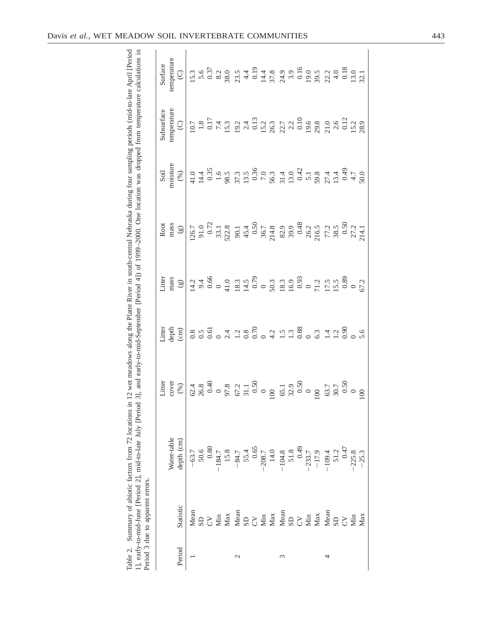| 」<br>:                         | $\sim$                                                |                       |
|--------------------------------|-------------------------------------------------------|-----------------------|
|                                |                                                       |                       |
|                                |                                                       |                       |
|                                |                                                       |                       |
|                                |                                                       |                       |
|                                |                                                       |                       |
|                                |                                                       |                       |
|                                | こうせい こうこ<br>.<br>ביניים                               |                       |
| t<br>;                         |                                                       |                       |
|                                | 1e                                                    |                       |
|                                |                                                       |                       |
|                                | $39 - 200$                                            |                       |
| <b>1 south-central Nehrask</b> |                                                       |                       |
|                                | of 1°<br>Č                                            |                       |
|                                |                                                       |                       |
|                                |                                                       |                       |
| e Platte Kiver ii              | o mid Contambar                                       |                       |
|                                |                                                       |                       |
|                                |                                                       |                       |
|                                |                                                       |                       |
|                                | $\lfloor 3 \rfloor$ , and early-to                    |                       |
| ļ                              |                                                       |                       |
|                                |                                                       |                       |
| $\sim$                         |                                                       |                       |
| í                              |                                                       |                       |
|                                |                                                       |                       |
|                                |                                                       |                       |
|                                |                                                       |                       |
| of abiotic factors from 7.     |                                                       |                       |
|                                | 1, early-to-mid-June [Period 2], mid-to-late July [P] | יומרחות ה             |
|                                |                                                       |                       |
| $\frac{1}{2}$<br>ble 2.        |                                                       | J<br>J<br>J<br>J<br>J |
|                                |                                                       |                       |

|               | Period 3 due to apparent errors. | Table 2. Summary of abiotic factors from 72 locations in<br>1], early-to-mid-June [Period 2], mid-to-late July [Period |           |                                                                                                                |                                | 12 wet meadows along the Platte River in south-central Nebraska during four sampling periods (mid-to-late April [Period<br>3], and early-to-mid-September [Period 4]) of 1999–2000. One location was dropped from temperature cal                                                                             |                                                                                                      |                        |            |
|---------------|----------------------------------|------------------------------------------------------------------------------------------------------------------------|-----------|----------------------------------------------------------------------------------------------------------------|--------------------------------|---------------------------------------------------------------------------------------------------------------------------------------------------------------------------------------------------------------------------------------------------------------------------------------------------------------|------------------------------------------------------------------------------------------------------|------------------------|------------|
|               |                                  |                                                                                                                        | Litter    | Litter                                                                                                         | Litter                         | Root                                                                                                                                                                                                                                                                                                          | Soil                                                                                                 | Subsurface             | Surface    |
|               |                                  | Water-table                                                                                                            |           |                                                                                                                | mass                           | mass                                                                                                                                                                                                                                                                                                          | moisture                                                                                             | emperature             | emperature |
| Period        | Statistic                        | depth (cm)                                                                                                             | cover (0) | $\frac{\text{depth}}{\text{cm}}$                                                                               | $\textcircled{\scriptsize{g}}$ | $\textcircled{\scriptsize{g}}$                                                                                                                                                                                                                                                                                | $(\%)$                                                                                               | $\widehat{\mathbb{C}}$ | ପ୍ର        |
|               | Mean                             |                                                                                                                        |           |                                                                                                                |                                |                                                                                                                                                                                                                                                                                                               | 11018 5105651065110165101651101851101851101851101851101851101851101851101851101851101851101851101851 |                        |            |
|               |                                  | $-63.7$<br>50.6                                                                                                        |           |                                                                                                                |                                |                                                                                                                                                                                                                                                                                                               |                                                                                                      |                        |            |
|               |                                  |                                                                                                                        |           |                                                                                                                |                                |                                                                                                                                                                                                                                                                                                               |                                                                                                      |                        |            |
|               |                                  |                                                                                                                        |           |                                                                                                                |                                |                                                                                                                                                                                                                                                                                                               |                                                                                                      |                        |            |
|               |                                  |                                                                                                                        |           |                                                                                                                |                                |                                                                                                                                                                                                                                                                                                               |                                                                                                      |                        |            |
| $\mathcal{L}$ |                                  |                                                                                                                        |           |                                                                                                                |                                |                                                                                                                                                                                                                                                                                                               |                                                                                                      |                        |            |
|               |                                  |                                                                                                                        |           |                                                                                                                |                                |                                                                                                                                                                                                                                                                                                               |                                                                                                      |                        |            |
|               |                                  |                                                                                                                        |           |                                                                                                                |                                |                                                                                                                                                                                                                                                                                                               |                                                                                                      |                        |            |
|               |                                  |                                                                                                                        |           |                                                                                                                |                                |                                                                                                                                                                                                                                                                                                               |                                                                                                      |                        |            |
|               |                                  |                                                                                                                        |           |                                                                                                                |                                |                                                                                                                                                                                                                                                                                                               |                                                                                                      |                        |            |
| 3             |                                  |                                                                                                                        |           | 85000 1 1 2000 1 1 1 2000 1 1 2000 1 2000 1 2000 1 2000 1 2000 1 2000 1 2000 1 2000 1 2000 1 2000 1 2000 1 200 |                                | $\begin{array}{l} 126.7 \\ 91.0 \\ 91.0 \\ 91.0 \\ 91.0 \\ 91.0 \\ 91.0 \\ 91.0 \\ 91.0 \\ 91.0 \\ 91.0 \\ 91.0 \\ 91.0 \\ 91.0 \\ 91.0 \\ 91.0 \\ 91.0 \\ 91.0 \\ 91.0 \\ 91.0 \\ 91.0 \\ 91.0 \\ 91.0 \\ 91.0 \\ 91.0 \\ 91.0 \\ 91.0 \\ 91.0 \\ 91.0 \\ 91.0 \\ 91.0 \\ 91.0 \\ 91.0 \\ 91.0 \\ 91.0 \\ 9$ |                                                                                                      |                        |            |
|               |                                  |                                                                                                                        |           |                                                                                                                |                                |                                                                                                                                                                                                                                                                                                               |                                                                                                      |                        |            |
|               |                                  |                                                                                                                        |           |                                                                                                                |                                |                                                                                                                                                                                                                                                                                                               |                                                                                                      |                        |            |
|               |                                  |                                                                                                                        |           |                                                                                                                |                                |                                                                                                                                                                                                                                                                                                               |                                                                                                      |                        |            |
|               |                                  |                                                                                                                        |           |                                                                                                                |                                |                                                                                                                                                                                                                                                                                                               |                                                                                                      |                        |            |
| 4             |                                  |                                                                                                                        |           |                                                                                                                |                                |                                                                                                                                                                                                                                                                                                               |                                                                                                      |                        |            |
|               |                                  |                                                                                                                        |           |                                                                                                                |                                |                                                                                                                                                                                                                                                                                                               |                                                                                                      |                        |            |
|               |                                  |                                                                                                                        |           |                                                                                                                |                                |                                                                                                                                                                                                                                                                                                               |                                                                                                      |                        |            |
|               |                                  |                                                                                                                        |           |                                                                                                                |                                |                                                                                                                                                                                                                                                                                                               |                                                                                                      |                        |            |
|               | Max                              | $-225.8$<br>$-25.3$                                                                                                    |           |                                                                                                                |                                |                                                                                                                                                                                                                                                                                                               |                                                                                                      |                        |            |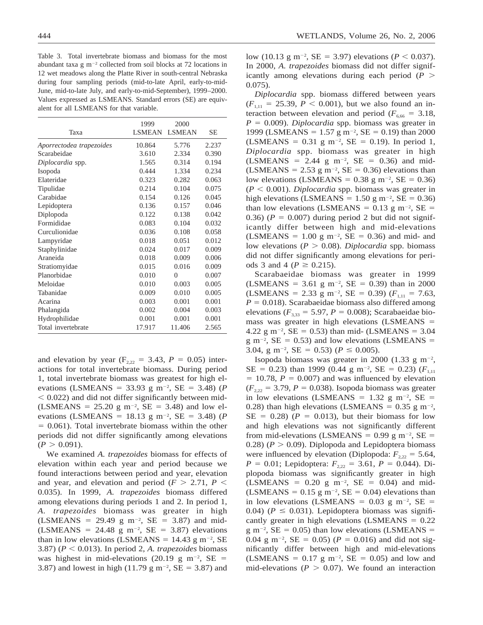Table 3. Total invertebrate biomass and biomass for the most abundant taxa g m<sup>-2</sup> collected from soil blocks at 72 locations in 12 wet meadows along the Platte River in south-central Nebraska during four sampling periods (mid-to-late April, early-to-mid-June, mid-to-late July, and early-to-mid-September), 1999–2000. Values expressed as LSMEANS. Standard errors (SE) are equivalent for all LSMEANS for that variable.

| Taxa                     | 1999<br><b>LSMEAN</b> | 2000<br><b>LSMEAN</b> | <b>SE</b> |
|--------------------------|-----------------------|-----------------------|-----------|
| Aporrectodea trapezoides | 10.864                | 5.776                 | 2.237     |
| Scarabeidae              | 3.610                 | 2.334                 | 0.390     |
| Diplocardia spp.         | 1.565                 | 0.314                 | 0.194     |
| Isopoda                  | 0.444                 | 1.334                 | 0.234     |
| Elateridae               | 0.323                 | 0.282                 | 0.063     |
| Tipulidae                | 0.214                 | 0.104                 | 0.075     |
| Carabidae                | 0.154                 | 0.126                 | 0.045     |
| Lepidoptera              | 0.136                 | 0.157                 | 0.046     |
| Diplopoda                | 0.122                 | 0.138                 | 0.042     |
| Formididae               | 0.083                 | 0.104                 | 0.032     |
| Curculionidae            | 0.036                 | 0.108                 | 0.058     |
| Lampyridae               | 0.018                 | 0.051                 | 0.012     |
| Staphylinidae            | 0.024                 | 0.017                 | 0.009     |
| Araneida                 | 0.018                 | 0.009                 | 0.006     |
| Stratiomyidae            | 0.015                 | 0.016                 | 0.009     |
| Planorbidae              | 0.010                 | $\Omega$              | 0.007     |
| Meloidae                 | 0.010                 | 0.003                 | 0.005     |
| Tabanidae                | 0.009                 | 0.010                 | 0.005     |
| Acarina                  | 0.003                 | 0.001                 | 0.001     |
| Phalangida               | 0.002                 | 0.004                 | 0.003     |
| Hydrophilidae            | 0.001                 | 0.001                 | 0.001     |
| Total invertebrate       | 17.917                | 11.406                | 2.565     |

and elevation by year ( $F_{2,22} = 3.43$ ,  $P = 0.05$ ) interactions for total invertebrate biomass. During period 1, total invertebrate biomass was greatest for high elevations (LSMEANS = 33.93 g m<sup>-2</sup>, SE = 3.48) (*P*  $< 0.022$ ) and did not differ significantly between mid-(LSMEANS =  $25.20 \text{ g m}^{-2}$ , SE = 3.48) and low elevations (LSMEANS =  $18.13 \text{ g m}^{-2}$ , SE = 3.48) (*P*  $= 0.061$ ). Total invertebrate biomass within the other periods did not differ significantly among elevations  $(P > 0.091)$ .

We examined *A. trapezoides* biomass for effects of elevation within each year and period because we found interactions between period and year, elevation and year, and elevation and period ( $F > 2.71$ ,  $P <$ 0.035). In 1999, *A. trapezoides* biomass differed among elevations during periods 1 and 2. In period 1, *A. trapezoides* biomass was greater in high (LSMEANS = 29.49 g m<sup>-2</sup>, SE = 3.87) and mid- $(LSMEANS = 24.48 g m<sup>-2</sup>, SE = 3.87)$  elevations than in low elevations (LSMEANS =  $14.43 \text{ g m}^{-2}$ , SE 3.87) ( $P < 0.013$ ). In period 2, A. *trapezoides* biomass was highest in mid-elevations (20.19 g m<sup>-2</sup>, SE = 3.87) and lowest in high (11.79 g m<sup>-2</sup>, SE = 3.87) and

low (10.13 g m<sup>-2</sup>, SE = 3.97) elevations ( $P < 0.037$ ). In 2000, *A. trapezoides* biomass did not differ significantly among elevations during each period (*P* . 0.075).

*Diplocardia* spp. biomass differed between years  $(F_{1,11} = 25.39, P < 0.001)$ , but we also found an interaction between elevation and period ( $F_{6,66}$  = 3.18,  $P = 0.009$ ). *Diplocardia* spp. biomass was greater in 1999 (LSMEANS =  $1.57 \text{ g m}^{-2}$ , SE = 0.19) than 2000  $(LSMEANS = 0.31 g m<sup>-2</sup>, SE = 0.19)$ . In period 1, *Diplocardia* spp. biomass was greater in high (LSMEANS = 2.44 g m<sup>-2</sup>, SE = 0.36) and mid-(LSMEANS = 2.53 g m<sup>-2</sup>, SE = 0.36) elevations than low elevations (LSMEANS =  $0.38$  g m<sup>-2</sup>, SE =  $0.36$ )  $(P \leq 0.001)$ . *Diplocardia* spp. biomass was greater in high elevations (LSMEANS =  $1.50 \text{ g m}^{-2}$ , SE = 0.36) than low elevations (LSMEANS =  $0.13$  g m<sup>-2</sup>, SE = 0.36) ( $P = 0.007$ ) during period 2 but did not significantly differ between high and mid-elevations (LSMEANS =  $1.00 \text{ g m}^{-2}$ , SE = 0.36) and mid- and low elevations ( $P > 0.08$ ). *Diplocardia* spp. biomass did not differ significantly among elevations for periods 3 and 4 ( $P \ge 0.215$ ).

Scarabaeidae biomass was greater in 1999  $(LSMEANS = 3.61 g m<sup>-2</sup>, SE = 0.39)$  than in 2000  $(LSMEANS = 2.33 g m<sup>-2</sup>, SE = 0.39)$  ( $F<sub>1,11</sub> = 7.63$ ,  $P = 0.018$ ). Scarabaeidae biomass also differed among elevations ( $F_{3,33} = 5.97$ ,  $P = 0.008$ ); Scarabaeidae biomass was greater in high elevations  $(LSMEANS =$  $4.22 \text{ g m}^{-2}$ ,  $SE = 0.53$ ) than mid- (LSMEANS = 3.04  $g$  m<sup>-2</sup>, SE = 0.53) and low elevations (LSMEANS = 3.04, g m<sup>-2</sup>, SE = 0.53) ( $P \le 0.005$ ).

Isopoda biomass was greater in 2000 (1.33 g m<sup>-2</sup>,  $SE = 0.23$ ) than 1999 (0.44 g m<sup>-2</sup>,  $SE = 0.23$ ) ( $F_{1,11}$  $= 10.78$ ,  $P = 0.007$ ) and was influenced by elevation  $(F_{2,22} = 3.79, P = 0.038)$ . Isopoda biomass was greater in low elevations (LSMEANS =  $1.32 \text{ g m}^{-2}$ , SE = 0.28) than high elevations (LSMEANS =  $0.35$  g m<sup>-2</sup>,  $SE = 0.28$ ) ( $P = 0.013$ ), but their biomass for low and high elevations was not significantly different from mid-elevations (LSMEANS =  $0.99$  g m<sup>-2</sup>, SE = 0.28)  $(P > 0.09)$ . Diplopoda and Lepidoptera biomass were influenced by elevation (Diplopoda:  $F_{2,22} = 5.64$ ,  $P = 0.01$ ; Lepidoptera:  $F_{2,22} = 3.61$ ,  $P = 0.044$ ). Diplopoda biomass was significantly greater in high (LSMEANS =  $0.20 \text{ g m}^{-2}$ , SE = 0.04) and mid-(LSMEANS =  $0.15$  g m<sup>-2</sup>, SE = 0.04) elevations than in low elevations (LSMEANS =  $0.03$  g m<sup>-2</sup>, SE = 0.04) ( $P \le 0.031$ ). Lepidoptera biomass was significantly greater in high elevations (LSMEANS  $= 0.22$ )  $g$  m<sup>-2</sup>, SE = 0.05) than low elevations (LSMEANS =  $0.04$  g m<sup>-2</sup>, SE = 0.05) ( $P = 0.016$ ) and did not significantly differ between high and mid-elevations (LSMEANS =  $0.17 \text{ g m}^{-2}$ , SE = 0.05) and low and mid-elevations ( $P > 0.07$ ). We found an interaction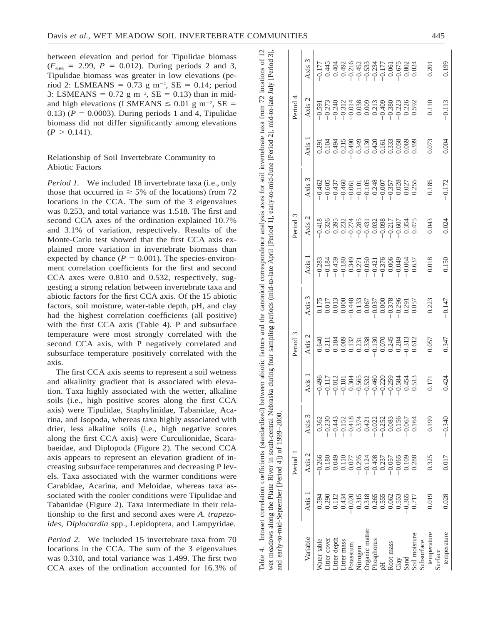between elevation and period for Tipulidae biomass  $(F_{6,66} = 2.99, P = 0.012)$ . During periods 2 and 3, Tipulidae biomass was greater in low elevations (period 2: LSMEANS =  $0.73$  g m<sup>-2</sup>, SE = 0.14; period 3: LSMEANS =  $0.72$  g m<sup>-2</sup>, SE = 0.13) than in midand high elevations (LSMEANS  $\leq$  0.01 g m<sup>-2</sup>, SE = 0.13) ( $P = 0.0003$ ). During periods 1 and 4, Tipulidae biomass did not differ significantly among elevations  $(P > 0.141)$ .

Relationship of Soil Invertebrate Community to Abiotic Factors

*Period 1.* We included 18 invertebrate taxa (i.e., only those that occurred in  $\geq 5\%$  of the locations) from 72 locations in the CCA. The sum of the 3 eigenvalues was 0.253, and total variance was 1.518. The first and second CCA axes of the ordination explained 10.7% and 3.1% of variation, respectively. Results of the Monte-Carlo test showed that the first CCA axis explained more variation in invertebrate biomass than expected by chance  $(P = 0.001)$ . The species-environment correlation coefficients for the first and second CCA axes were 0.810 and 0.532, respectively, suggesting a strong relation between invertebrate taxa and abiotic factors for the first CCA axis. Of the 15 abiotic factors, soil moisture, water-table depth, pH, and clay had the highest correlation coefficients (all positive) with the first CCA axis (Table 4). P and subsurface temperature were most strongly correlated with the second CCA axis, with P negatively correlated and subsurface temperature positively correlated with the axis.

The first CCA axis seems to represent a soil wetness and alkalinity gradient that is associated with elevation. Taxa highly associated with the wetter, alkaline soils (i.e., high positive scores along the first CCA axis) were Tipulidae, Staphylinidae, Tabanidae, Acarina, and Isopoda, whereas taxa highly associated with drier, less alkaline soils (i.e., high negative scores along the first CCA axis) were Curculionidae, Scarabaeidae, and Diplopoda (Figure 2). The second CCA axis appears to represent an elevation gradient of increasing subsurface temperatures and decreasing P levels. Taxa associated with the warmer conditions were Carabidae, Acarina, and Meloidae, whereas taxa associated with the cooler conditions were Tipulidae and Tabanidae (Figure 2). Taxa intermediate in their relationship to the first and second axes were *A. trapezoides*, *Diplocardia* spp., Lepidoptera, and Lampyridae.

*Period 2.* We included 15 invertebrate taxa from 70 locations in the CCA. The sum of the 3 eigenvalues was 0.310, and total variance was 1.499. The first two CCA axes of the ordination accounted for 16.3% of

| Table 4. Intraset correlation coefficients (standardized) between abiotic factors and the canonical correspondence analysis axes for soil invertebrate taxa from 72 locations of 12<br>wet meadows along the Platte River in south-central Nebr<br>and early-to-mid-September [Period 4]) of 1999-2000. |          |          |                                                                                                                |                                                                                            |                                                      |                                                                                                                                                                                                                                                                                                     |                                                                                                                                                                                                                                                                                                                                    |                                                                                                         | aska during four sampling periods (mid-to-late April [Period 1], early-to-mid-June [Period 2], mid-to-late July [Period 3],                                                                    |                                                                                                                                                                            |          |                                                                                                                                                                                                                                                                                                                                   |
|---------------------------------------------------------------------------------------------------------------------------------------------------------------------------------------------------------------------------------------------------------------------------------------------------------|----------|----------|----------------------------------------------------------------------------------------------------------------|--------------------------------------------------------------------------------------------|------------------------------------------------------|-----------------------------------------------------------------------------------------------------------------------------------------------------------------------------------------------------------------------------------------------------------------------------------------------------|------------------------------------------------------------------------------------------------------------------------------------------------------------------------------------------------------------------------------------------------------------------------------------------------------------------------------------|---------------------------------------------------------------------------------------------------------|------------------------------------------------------------------------------------------------------------------------------------------------------------------------------------------------|----------------------------------------------------------------------------------------------------------------------------------------------------------------------------|----------|-----------------------------------------------------------------------------------------------------------------------------------------------------------------------------------------------------------------------------------------------------------------------------------------------------------------------------------|
|                                                                                                                                                                                                                                                                                                         |          | Period   |                                                                                                                |                                                                                            | Period 3                                             |                                                                                                                                                                                                                                                                                                     |                                                                                                                                                                                                                                                                                                                                    | Period 3                                                                                                |                                                                                                                                                                                                |                                                                                                                                                                            | Period 4 |                                                                                                                                                                                                                                                                                                                                   |
| Variable                                                                                                                                                                                                                                                                                                | Axis     | Axis $2$ | Axis 3                                                                                                         | Axis                                                                                       | Axis 2                                               | Axis 3                                                                                                                                                                                                                                                                                              | Axis                                                                                                                                                                                                                                                                                                                               | Axis 2                                                                                                  | Axis                                                                                                                                                                                           | Axis                                                                                                                                                                       | Axis 2   | Axis 3                                                                                                                                                                                                                                                                                                                            |
| Water table                                                                                                                                                                                                                                                                                             | 0.594    | $-0.266$ | 0.362                                                                                                          |                                                                                            |                                                      |                                                                                                                                                                                                                                                                                                     | 0.283                                                                                                                                                                                                                                                                                                                              | $-0.418$                                                                                                | 0.462                                                                                                                                                                                          |                                                                                                                                                                            | $-0.591$ |                                                                                                                                                                                                                                                                                                                                   |
| itter cover                                                                                                                                                                                                                                                                                             | 0.290    | 0.180    |                                                                                                                |                                                                                            |                                                      |                                                                                                                                                                                                                                                                                                     |                                                                                                                                                                                                                                                                                                                                    |                                                                                                         |                                                                                                                                                                                                |                                                                                                                                                                            |          |                                                                                                                                                                                                                                                                                                                                   |
| itter depth                                                                                                                                                                                                                                                                                             | 0.112    | 0.049    | $\begin{array}{r} -0.230 \\ -0.443 \\ -0.152 \\ -0.1418 \\ -0.374 \\ -0.374 \\ -0.31 \\ -0.421 \\ \end{array}$ | $967172876873288444$<br>$-10012876873284444$<br>$-1001287693284444$<br>$-1001287693284444$ | 0.640<br>0.211<br>0.0.88<br>0.0.33<br>0.338          | $\begin{array}{l} 175 \\ 0.011 \\ 0.001 \\ 0.000 \\ 0.000 \\ 0.000 \\ 0.000 \\ 0.000 \\ 0.000 \\ 0.000 \\ 0.000 \\ 0.000 \\ 0.000 \\ 0.000 \\ 0.000 \\ 0.000 \\ 0.000 \\ 0.000 \\ 0.000 \\ 0.000 \\ 0.000 \\ 0.000 \\ 0.000 \\ 0.000 \\ 0.000 \\ 0.000 \\ 0.000 \\ 0.000 \\ 0.000 \\ 0.000 \\ 0.00$ | $\begin{array}{r} -0.184 \\ -0.459 \\ -0.380 \\ -0.349 \\ -0.549 \\ -0.549 \\ -0.549 \\ -0.549 \\ -0.549 \\ -0.549 \\ -0.549 \\ -0.549 \\ -0.549 \\ -0.549 \\ -0.549 \\ -0.549 \\ -0.549 \\ -0.549 \\ -0.549 \\ -0.549 \\ -0.549 \\ -0.549 \\ -0.549 \\ -0.549 \\ -0.549 \\ -0.549 \\ -0.549 \\ -0.549 \\ -0.549 \\ -0.549 \\ -0.$ | $\begin{array}{r} 0.326 \\ 0.395 \\ 0.232 \\ 0.274 \\ -0.274 \\ -0.385 \\ -0.431 \\ -0.032 \end{array}$ | $\begin{array}{r} -0.605 \\ -0.437 \\ -0.460 \\ -0.061 \\ -0.101 \\ -0.105 \\ -0.248 \\ -0.057 \\ -0.038 \\ -0.024 \\ -0.032 \\ -0.024 \\ -0.024 \\ -0.027 \\ -0.024 \\ -0.027 \\ \end{array}$ | $\begin{array}{c} 1291 \\ 0.104 \\ 0.104 \\ 0.21 \\ 0.31 \\ 0.33 \\ 0.34 \\ 0.33 \\ 0.33 \\ 0.33 \\ 0.33 \\ 0.33 \\ 0.33 \\ 0.33 \\ 0.30 \\ 0.161 \\ 0.161 \\ \end{array}$ |          | $\begin{array}{r} 77 \\ -0.174 \\ -0.443 \\ -0.443 \\ -0.213 \\ -0.213 \\ -0.213 \\ -0.213 \\ -0.213 \\ -0.213 \\ -0.213 \\ -0.213 \\ -0.213 \\ -0.213 \\ -0.213 \\ -0.213 \\ -0.213 \\ -0.213 \\ -0.213 \\ -0.213 \\ -0.213 \\ -0.213 \\ -0.213 \\ -0.213 \\ -0.213 \\ -0.213 \\ -0.213 \\ -0.213 \\ -0.213 \\ -0.213 \\ -0.213$ |
| itter mass.                                                                                                                                                                                                                                                                                             | 0.434    | 0.110    |                                                                                                                |                                                                                            |                                                      |                                                                                                                                                                                                                                                                                                     |                                                                                                                                                                                                                                                                                                                                    |                                                                                                         |                                                                                                                                                                                                |                                                                                                                                                                            |          |                                                                                                                                                                                                                                                                                                                                   |
| Potassium                                                                                                                                                                                                                                                                                               | $-0.020$ | 0.077    |                                                                                                                |                                                                                            |                                                      |                                                                                                                                                                                                                                                                                                     |                                                                                                                                                                                                                                                                                                                                    |                                                                                                         |                                                                                                                                                                                                |                                                                                                                                                                            |          |                                                                                                                                                                                                                                                                                                                                   |
| Nitrogen                                                                                                                                                                                                                                                                                                | 0.315    | $-0.295$ |                                                                                                                |                                                                                            |                                                      |                                                                                                                                                                                                                                                                                                     |                                                                                                                                                                                                                                                                                                                                    |                                                                                                         |                                                                                                                                                                                                |                                                                                                                                                                            |          |                                                                                                                                                                                                                                                                                                                                   |
| Irganic matter                                                                                                                                                                                                                                                                                          | 0.318    | $-0.124$ |                                                                                                                |                                                                                            |                                                      |                                                                                                                                                                                                                                                                                                     |                                                                                                                                                                                                                                                                                                                                    |                                                                                                         |                                                                                                                                                                                                |                                                                                                                                                                            |          |                                                                                                                                                                                                                                                                                                                                   |
| hosphorus                                                                                                                                                                                                                                                                                               | 0.265    | $-0.408$ | $-0.022$                                                                                                       |                                                                                            |                                                      |                                                                                                                                                                                                                                                                                                     |                                                                                                                                                                                                                                                                                                                                    |                                                                                                         |                                                                                                                                                                                                |                                                                                                                                                                            |          |                                                                                                                                                                                                                                                                                                                                   |
| H                                                                                                                                                                                                                                                                                                       | 0.555    | 0.237    | $-0.252$                                                                                                       |                                                                                            |                                                      |                                                                                                                                                                                                                                                                                                     |                                                                                                                                                                                                                                                                                                                                    |                                                                                                         |                                                                                                                                                                                                |                                                                                                                                                                            |          |                                                                                                                                                                                                                                                                                                                                   |
| Root mass                                                                                                                                                                                                                                                                                               | 0.062    | $-0.057$ | 0.083                                                                                                          |                                                                                            | $-0.130$<br>$0.070$<br>$0.245$<br>$0.243$<br>$0.313$ |                                                                                                                                                                                                                                                                                                     |                                                                                                                                                                                                                                                                                                                                    | $-0.098$<br>$-0.217$<br>$-0.507$<br>$-0.607$<br>0.354                                                   |                                                                                                                                                                                                | 0.333<br>0.058                                                                                                                                                             |          |                                                                                                                                                                                                                                                                                                                                   |
| $\Box$ ay                                                                                                                                                                                                                                                                                               | 0.553    | $-0.065$ | 0.156                                                                                                          |                                                                                            |                                                      |                                                                                                                                                                                                                                                                                                     |                                                                                                                                                                                                                                                                                                                                    |                                                                                                         |                                                                                                                                                                                                |                                                                                                                                                                            |          |                                                                                                                                                                                                                                                                                                                                   |
| Sand                                                                                                                                                                                                                                                                                                    | $-0.365$ | 0.109    | $-0.067$                                                                                                       |                                                                                            |                                                      |                                                                                                                                                                                                                                                                                                     |                                                                                                                                                                                                                                                                                                                                    |                                                                                                         |                                                                                                                                                                                                | 0.069                                                                                                                                                                      |          |                                                                                                                                                                                                                                                                                                                                   |
| Soil moisture                                                                                                                                                                                                                                                                                           | 0.717    | $-0.288$ | 0.164                                                                                                          | $-0.513$                                                                                   | 0.612                                                | 0.057                                                                                                                                                                                                                                                                                               | $-0.637$                                                                                                                                                                                                                                                                                                                           | $-0.475$                                                                                                | 0.255                                                                                                                                                                                          | 0.399                                                                                                                                                                      | $-0.592$ | 0.024                                                                                                                                                                                                                                                                                                                             |
| Subsurface                                                                                                                                                                                                                                                                                              |          |          |                                                                                                                |                                                                                            |                                                      |                                                                                                                                                                                                                                                                                                     |                                                                                                                                                                                                                                                                                                                                    |                                                                                                         |                                                                                                                                                                                                |                                                                                                                                                                            |          |                                                                                                                                                                                                                                                                                                                                   |
| temperature<br>Surface                                                                                                                                                                                                                                                                                  | 0.019    | 0.325    | $-0.199$                                                                                                       | 0.171                                                                                      | 0.057                                                | $-0.223$                                                                                                                                                                                                                                                                                            | $-0.018$                                                                                                                                                                                                                                                                                                                           | $-0.043$                                                                                                | 0.185                                                                                                                                                                                          | 0.073                                                                                                                                                                      | 0.110    | 0.201                                                                                                                                                                                                                                                                                                                             |
| temperature                                                                                                                                                                                                                                                                                             | 0.028    | 0.017    | $-0.340$                                                                                                       | 0.424                                                                                      | 0.347                                                | $-0.147$                                                                                                                                                                                                                                                                                            | 0.150                                                                                                                                                                                                                                                                                                                              | 0.024                                                                                                   | $-0.172$                                                                                                                                                                                       | 0.004                                                                                                                                                                      | $-0.113$ | 0.199                                                                                                                                                                                                                                                                                                                             |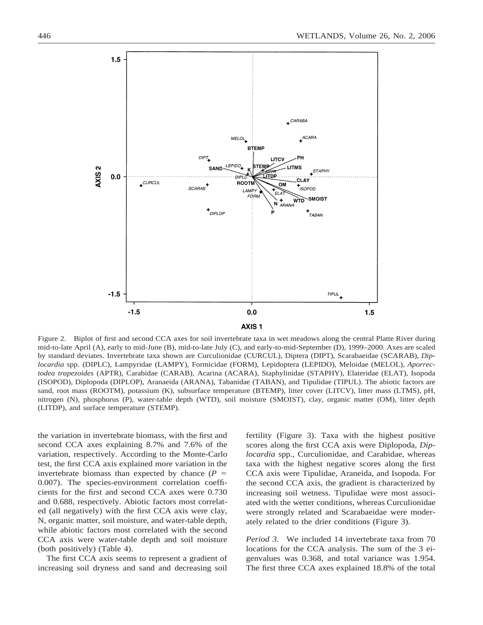

Figure 2. Biplot of first and second CCA axes for soil invertebrate taxa in wet meadows along the central Platte River during mid-to-late April (A), early to mid-June (B), mid-to-late July (C), and early-to-mid-September (D), 1999–2000. Axes are scaled by standard deviates. Invertebrate taxa shown are Curculionidae (CURCUL), Diptera (DIPT), Scarabaeidae (SCARAB), *Diplocardia* spp. (DIPLC), Lampyridae (LAMPY), Formicidae (FORM), Lepidoptera (LEPIDO), Meloidae (MELOL), *Aporrectodea trapezoides* (APTR), Carabidae (CARAB), Acarina (ACARA), Staphylinidae (STAPHY), Elateridae (ELAT), Isopoda (ISOPOD), Diplopoda (DIPLOP), Aranaeida (ARANA), Tabanidae (TABAN), and Tipulidae (TIPUL). The abiotic factors are sand, root mass (ROOTM), potassium (K), subsurface temperature (BTEMP), litter cover (LITCV), litter mass (LTMS), pH, nitrogen (N), phosphorus (P), water-table depth (WTD), soil moisture (SMOIST), clay, organic matter (OM), litter depth (LITDP), and surface temperature (STEMP).

the variation in invertebrate biomass, with the first and second CCA axes explaining 8.7% and 7.6% of the variation, respectively. According to the Monte-Carlo test, the first CCA axis explained more variation in the invertebrate biomass than expected by chance  $(P =$ 0.007). The species-environment correlation coefficients for the first and second CCA axes were 0.730 and 0.688, respectively. Abiotic factors most correlated (all negatively) with the first CCA axis were clay, N, organic matter, soil moisture, and water-table depth, while abiotic factors most correlated with the second CCA axis were water-table depth and soil moisture (both positively) (Table 4).

The first CCA axis seems to represent a gradient of increasing soil dryness and sand and decreasing soil

fertility (Figure 3). Taxa with the highest positive scores along the first CCA axis were Diplopoda, *Diplocardia* spp., Curculionidae, and Carabidae, whereas taxa with the highest negative scores along the first CCA axis were Tipulidae, Araneida, and Isopoda. For the second CCA axis, the gradient is characterized by increasing soil wetness. Tipulidae were most associated with the wetter conditions, whereas Curculionidae were strongly related and Scarabaeidae were moderately related to the drier conditions (Figure 3).

*Period 3.* We included 14 invertebrate taxa from 70 locations for the CCA analysis. The sum of the 3 eigenvalues was 0.368, and total variance was 1.954. The first three CCA axes explained 18.8% of the total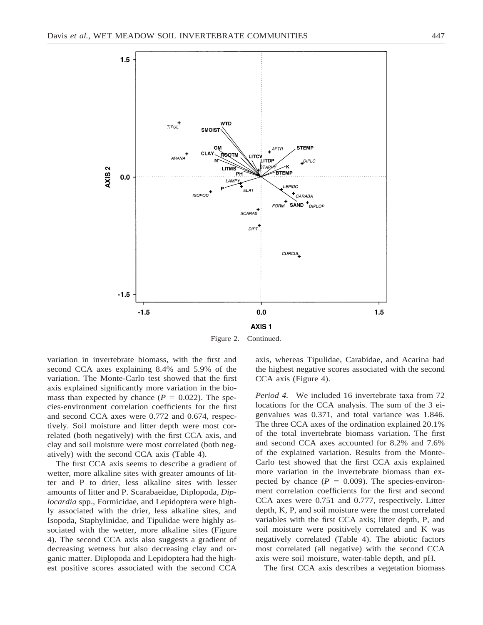

Figure 2. Continued.

variation in invertebrate biomass, with the first and second CCA axes explaining 8.4% and 5.9% of the variation. The Monte-Carlo test showed that the first axis explained significantly more variation in the biomass than expected by chance  $(P = 0.022)$ . The species-environment correlation coefficients for the first and second CCA axes were 0.772 and 0.674, respectively. Soil moisture and litter depth were most correlated (both negatively) with the first CCA axis, and clay and soil moisture were most correlated (both negatively) with the second CCA axis (Table 4).

The first CCA axis seems to describe a gradient of wetter, more alkaline sites with greater amounts of litter and P to drier, less alkaline sites with lesser amounts of litter and P. Scarabaeidae, Diplopoda, *Diplocardia* spp., Formicidae, and Lepidoptera were highly associated with the drier, less alkaline sites, and Isopoda, Staphylinidae, and Tipulidae were highly associated with the wetter, more alkaline sites (Figure 4). The second CCA axis also suggests a gradient of decreasing wetness but also decreasing clay and organic matter. Diplopoda and Lepidoptera had the highest positive scores associated with the second CCA

axis, whereas Tipulidae, Carabidae, and Acarina had the highest negative scores associated with the second CCA axis (Figure 4).

*Period 4.* We included 16 invertebrate taxa from 72 locations for the CCA analysis. The sum of the 3 eigenvalues was 0.371, and total variance was 1.846. The three CCA axes of the ordination explained 20.1% of the total invertebrate biomass variation. The first and second CCA axes accounted for 8.2% and 7.6% of the explained variation. Results from the Monte-Carlo test showed that the first CCA axis explained more variation in the invertebrate biomass than expected by chance  $(P = 0.009)$ . The species-environment correlation coefficients for the first and second CCA axes were 0.751 and 0.777, respectively. Litter depth, K, P, and soil moisture were the most correlated variables with the first CCA axis; litter depth, P, and soil moisture were positively correlated and K was negatively correlated (Table 4). The abiotic factors most correlated (all negative) with the second CCA axis were soil moisture, water-table depth, and pH.

The first CCA axis describes a vegetation biomass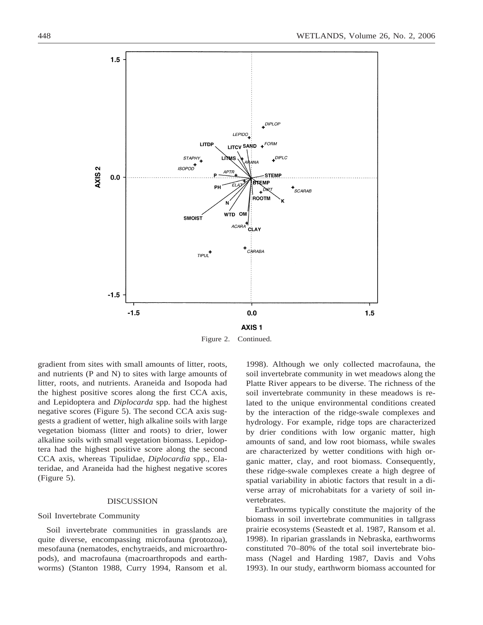

gradient from sites with small amounts of litter, roots, and nutrients (P and N) to sites with large amounts of litter, roots, and nutrients. Araneida and Isopoda had the highest positive scores along the first CCA axis, and Lepidoptera and *Diplocarda* spp. had the highest negative scores (Figure 5). The second CCA axis suggests a gradient of wetter, high alkaline soils with large vegetation biomass (litter and roots) to drier, lower alkaline soils with small vegetation biomass. Lepidoptera had the highest positive score along the second CCA axis, whereas Tipulidae, *Diplocardia* spp., Elateridae, and Araneida had the highest negative scores (Figure 5).

#### DISCUSSION

#### Soil Invertebrate Community

Soil invertebrate communities in grasslands are quite diverse, encompassing microfauna (protozoa), mesofauna (nematodes, enchytraeids, and microarthropods), and macrofauna (macroarthropods and earthworms) (Stanton 1988, Curry 1994, Ransom et al.

1998). Although we only collected macrofauna, the soil invertebrate community in wet meadows along the Platte River appears to be diverse. The richness of the soil invertebrate community in these meadows is related to the unique environmental conditions created by the interaction of the ridge-swale complexes and hydrology. For example, ridge tops are characterized by drier conditions with low organic matter, high amounts of sand, and low root biomass, while swales are characterized by wetter conditions with high organic matter, clay, and root biomass. Consequently, these ridge-swale complexes create a high degree of spatial variability in abiotic factors that result in a diverse array of microhabitats for a variety of soil invertebrates.

Earthworms typically constitute the majority of the biomass in soil invertebrate communities in tallgrass prairie ecosystems (Seastedt et al. 1987, Ransom et al. 1998). In riparian grasslands in Nebraska, earthworms constituted 70–80% of the total soil invertebrate biomass (Nagel and Harding 1987, Davis and Vohs 1993). In our study, earthworm biomass accounted for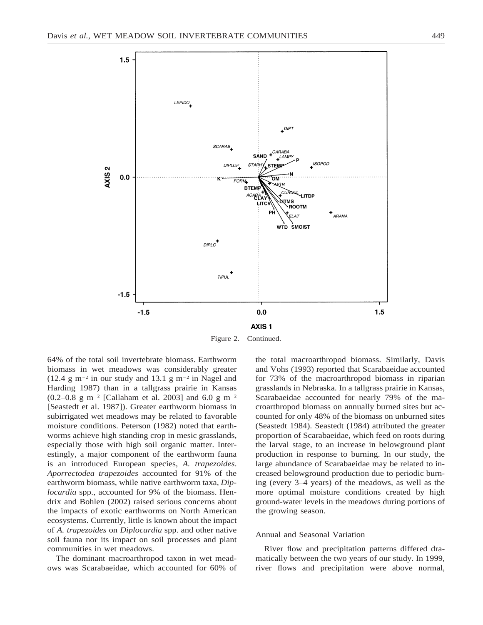

Figure 2. Continued.

64% of the total soil invertebrate biomass. Earthworm biomass in wet meadows was considerably greater  $(12.4 \text{ g m}^{-2} \text{ in our study and } 13.1 \text{ g m}^{-2} \text{ in Nagel and }$ Harding 1987) than in a tallgrass prairie in Kansas  $(0.2-0.8 \text{ g m}^{-2}$  [Callaham et al. 2003] and 6.0 g m<sup>-2</sup> [Seastedt et al. 1987]). Greater earthworm biomass in subirrigated wet meadows may be related to favorable moisture conditions. Peterson (1982) noted that earthworms achieve high standing crop in mesic grasslands, especially those with high soil organic matter. Interestingly, a major component of the earthworm fauna is an introduced European species, *A. trapezoides*. *Aporrectodea trapezoides* accounted for 91% of the earthworm biomass, while native earthworm taxa, *Diplocardia* spp., accounted for 9% of the biomass. Hendrix and Bohlen (2002) raised serious concerns about the impacts of exotic earthworms on North American ecosystems. Currently, little is known about the impact of *A. trapezoides* on *Diplocardia* spp. and other native soil fauna nor its impact on soil processes and plant communities in wet meadows.

The dominant macroarthropod taxon in wet meadows was Scarabaeidae, which accounted for 60% of the total macroarthropod biomass. Similarly, Davis and Vohs (1993) reported that Scarabaeidae accounted for 73% of the macroarthropod biomass in riparian grasslands in Nebraska. In a tallgrass prairie in Kansas, Scarabaeidae accounted for nearly 79% of the macroarthropod biomass on annually burned sites but accounted for only 48% of the biomass on unburned sites (Seastedt 1984). Seastedt (1984) attributed the greater proportion of Scarabaeidae, which feed on roots during the larval stage, to an increase in belowground plant production in response to burning. In our study, the large abundance of Scarabaeidae may be related to increased belowground production due to periodic burning (every 3–4 years) of the meadows, as well as the more optimal moisture conditions created by high ground-water levels in the meadows during portions of the growing season.

#### Annual and Seasonal Variation

River flow and precipitation patterns differed dramatically between the two years of our study. In 1999, river flows and precipitation were above normal,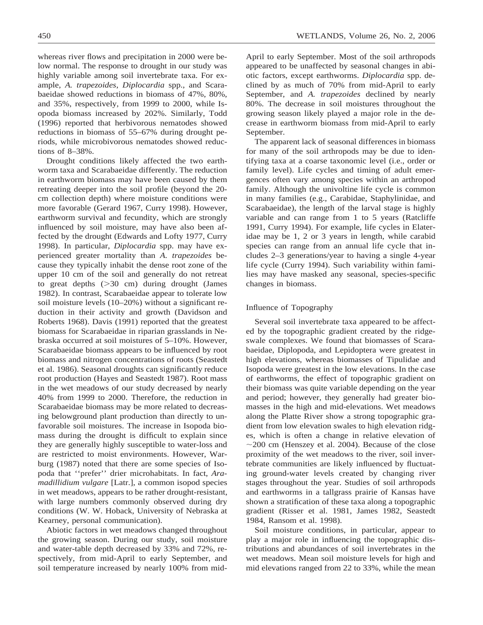whereas river flows and precipitation in 2000 were below normal. The response to drought in our study was highly variable among soil invertebrate taxa. For example, *A. trapezoides*, *Diplocardia* spp., and Scarabaeidae showed reductions in biomass of 47%, 80%, and 35%, respectively, from 1999 to 2000, while Isopoda biomass increased by 202%. Similarly, Todd (1996) reported that herbivorous nematodes showed reductions in biomass of 55–67% during drought periods, while microbivorous nematodes showed reductions of 8–38%.

Drought conditions likely affected the two earthworm taxa and Scarabaeidae differently. The reduction in earthworm biomass may have been caused by them retreating deeper into the soil profile (beyond the 20 cm collection depth) where moisture conditions were more favorable (Gerard 1967, Curry 1998). However, earthworm survival and fecundity, which are strongly influenced by soil moisture, may have also been affected by the drought (Edwards and Lofty 1977, Curry 1998). In particular, *Diplocardia* spp. may have experienced greater mortality than *A. trapezoides* because they typically inhabit the dense root zone of the upper 10 cm of the soil and generally do not retreat to great depths  $(>30 \text{ cm})$  during drought (James 1982). In contrast, Scarabaeidae appear to tolerate low soil moisture levels (10–20%) without a significant reduction in their activity and growth (Davidson and Roberts 1968). Davis (1991) reported that the greatest biomass for Scarabaeidae in riparian grasslands in Nebraska occurred at soil moistures of 5–10%. However, Scarabaeidae biomass appears to be influenced by root biomass and nitrogen concentrations of roots (Seastedt et al. 1986). Seasonal droughts can significantly reduce root production (Hayes and Seastedt 1987). Root mass in the wet meadows of our study decreased by nearly 40% from 1999 to 2000. Therefore, the reduction in Scarabaeidae biomass may be more related to decreasing belowground plant production than directly to unfavorable soil moistures. The increase in Isopoda biomass during the drought is difficult to explain since they are generally highly susceptible to water-loss and are restricted to moist environments. However, Warburg (1987) noted that there are some species of Isopoda that ''prefer'' drier microhabitats. In fact, *Aramadillidium vulgare* [Latr.], a common isopod species in wet meadows, appears to be rather drought-resistant, with large numbers commonly observed during dry conditions (W. W. Hoback, University of Nebraska at Kearney, personal communication).

Abiotic factors in wet meadows changed throughout the growing season. During our study, soil moisture and water-table depth decreased by 33% and 72%, respectively, from mid-April to early September, and soil temperature increased by nearly 100% from mid-

April to early September. Most of the soil arthropods appeared to be unaffected by seasonal changes in abiotic factors, except earthworms. *Diplocardia* spp. declined by as much of 70% from mid-April to early September, and *A. trapezoides* declined by nearly 80%. The decrease in soil moistures throughout the growing season likely played a major role in the decrease in earthworm biomass from mid-April to early September.

The apparent lack of seasonal differences in biomass for many of the soil arthropods may be due to identifying taxa at a coarse taxonomic level (i.e., order or family level). Life cycles and timing of adult emergences often vary among species within an arthropod family. Although the univoltine life cycle is common in many families (e.g., Carabidae, Staphylinidae, and Scarabaeidae), the length of the larval stage is highly variable and can range from 1 to 5 years (Ratcliffe 1991, Curry 1994). For example, life cycles in Elateridae may be 1, 2 or 3 years in length, while carabid species can range from an annual life cycle that includes 2–3 generations/year to having a single 4-year life cycle (Curry 1994). Such variability within families may have masked any seasonal, species-specific changes in biomass.

#### Influence of Topography

Several soil invertebrate taxa appeared to be affected by the topographic gradient created by the ridgeswale complexes. We found that biomasses of Scarabaeidae, Diplopoda, and Lepidoptera were greatest in high elevations, whereas biomasses of Tipulidae and Isopoda were greatest in the low elevations. In the case of earthworms, the effect of topographic gradient on their biomass was quite variable depending on the year and period; however, they generally had greater biomasses in the high and mid-elevations. Wet meadows along the Platte River show a strong topographic gradient from low elevation swales to high elevation ridges, which is often a change in relative elevation of  $\sim$ 200 cm (Henszey et al. 2004). Because of the close proximity of the wet meadows to the river, soil invertebrate communities are likely influenced by fluctuating ground-water levels created by changing river stages throughout the year. Studies of soil arthropods and earthworms in a tallgrass prairie of Kansas have shown a stratification of these taxa along a topographic gradient (Risser et al. 1981, James 1982, Seastedt 1984, Ransom et al. 1998).

Soil moisture conditions, in particular, appear to play a major role in influencing the topographic distributions and abundances of soil invertebrates in the wet meadows. Mean soil moisture levels for high and mid elevations ranged from 22 to 33%, while the mean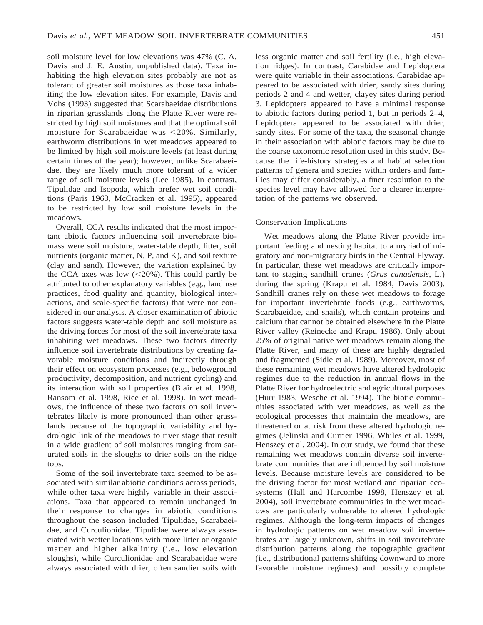soil moisture level for low elevations was 47% (C. A. Davis and J. E. Austin, unpublished data). Taxa inhabiting the high elevation sites probably are not as tolerant of greater soil moistures as those taxa inhabiting the low elevation sites. For example, Davis and Vohs (1993) suggested that Scarabaeidae distributions in riparian grasslands along the Platte River were restricted by high soil moistures and that the optimal soil moisture for Scarabaeidae was  $\langle 20\% \rangle$ . Similarly, earthworm distributions in wet meadows appeared to be limited by high soil moisture levels (at least during certain times of the year); however, unlike Scarabaeidae, they are likely much more tolerant of a wider range of soil moisture levels (Lee 1985). In contrast, Tipulidae and Isopoda, which prefer wet soil conditions (Paris 1963, McCracken et al. 1995), appeared to be restricted by low soil moisture levels in the meadows.

Overall, CCA results indicated that the most important abiotic factors influencing soil invertebrate biomass were soil moisture, water-table depth, litter, soil nutrients (organic matter, N, P, and K), and soil texture (clay and sand). However, the variation explained by the CCA axes was low  $(<20\%)$ . This could partly be attributed to other explanatory variables (e.g., land use practices, food quality and quantity, biological interactions, and scale-specific factors) that were not considered in our analysis. A closer examination of abiotic factors suggests water-table depth and soil moisture as the driving forces for most of the soil invertebrate taxa inhabiting wet meadows. These two factors directly influence soil invertebrate distributions by creating favorable moisture conditions and indirectly through their effect on ecosystem processes (e.g., belowground productivity, decomposition, and nutrient cycling) and its interaction with soil properties (Blair et al. 1998, Ransom et al. 1998, Rice et al. 1998). In wet meadows, the influence of these two factors on soil invertebrates likely is more pronounced than other grasslands because of the topographic variability and hydrologic link of the meadows to river stage that result in a wide gradient of soil moistures ranging from saturated soils in the sloughs to drier soils on the ridge tops.

Some of the soil invertebrate taxa seemed to be associated with similar abiotic conditions across periods, while other taxa were highly variable in their associations. Taxa that appeared to remain unchanged in their response to changes in abiotic conditions throughout the season included Tipulidae, Scarabaeidae, and Curculionidae. Tipulidae were always associated with wetter locations with more litter or organic matter and higher alkalinity (i.e., low elevation sloughs), while Curculionidae and Scarabaeidae were always associated with drier, often sandier soils with

less organic matter and soil fertility (i.e., high elevation ridges). In contrast, Carabidae and Lepidoptera were quite variable in their associations. Carabidae appeared to be associated with drier, sandy sites during periods 2 and 4 and wetter, clayey sites during period 3. Lepidoptera appeared to have a minimal response to abiotic factors during period 1, but in periods 2–4, Lepidoptera appeared to be associated with drier, sandy sites. For some of the taxa, the seasonal change in their association with abiotic factors may be due to the coarse taxonomic resolution used in this study. Because the life-history strategies and habitat selection patterns of genera and species within orders and families may differ considerably, a finer resolution to the species level may have allowed for a clearer interpretation of the patterns we observed.

#### Conservation Implications

Wet meadows along the Platte River provide important feeding and nesting habitat to a myriad of migratory and non-migratory birds in the Central Flyway. In particular, these wet meadows are critically important to staging sandhill cranes (*Grus canadensis*, L.) during the spring (Krapu et al. 1984, Davis 2003). Sandhill cranes rely on these wet meadows to forage for important invertebrate foods (e.g., earthworms, Scarabaeidae, and snails), which contain proteins and calcium that cannot be obtained elsewhere in the Platte River valley (Reinecke and Krapu 1986). Only about 25% of original native wet meadows remain along the Platte River, and many of these are highly degraded and fragmented (Sidle et al. 1989). Moreover, most of these remaining wet meadows have altered hydrologic regimes due to the reduction in annual flows in the Platte River for hydroelectric and agricultural purposes (Hurr 1983, Wesche et al. 1994). The biotic communities associated with wet meadows, as well as the ecological processes that maintain the meadows, are threatened or at risk from these altered hydrologic regimes (Jelinski and Currier 1996, Whiles et al. 1999, Henszey et al. 2004). In our study, we found that these remaining wet meadows contain diverse soil invertebrate communities that are influenced by soil moisture levels. Because moisture levels are considered to be the driving factor for most wetland and riparian ecosystems (Hall and Harcombe 1998, Henszey et al. 2004), soil invertebrate communities in the wet meadows are particularly vulnerable to altered hydrologic regimes. Although the long-term impacts of changes in hydrologic patterns on wet meadow soil invertebrates are largely unknown, shifts in soil invertebrate distribution patterns along the topographic gradient (i.e., distributional patterns shifting downward to more favorable moisture regimes) and possibly complete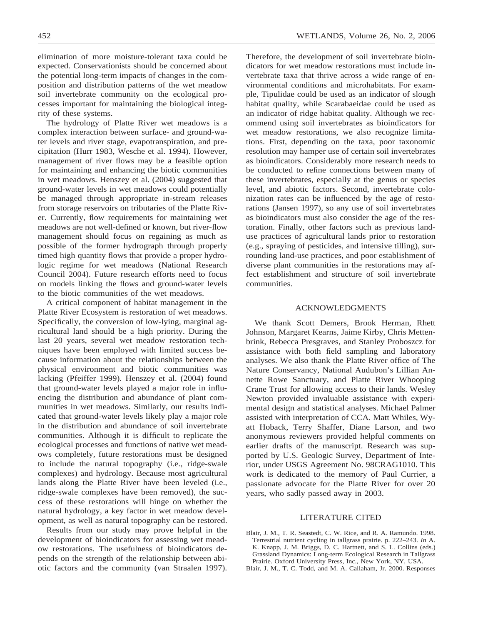elimination of more moisture-tolerant taxa could be expected. Conservationists should be concerned about the potential long-term impacts of changes in the composition and distribution patterns of the wet meadow soil invertebrate community on the ecological processes important for maintaining the biological integrity of these systems.

The hydrology of Platte River wet meadows is a complex interaction between surface- and ground-water levels and river stage, evapotranspiration, and precipitation (Hurr 1983, Wesche et al. 1994). However, management of river flows may be a feasible option for maintaining and enhancing the biotic communities in wet meadows. Henszey et al. (2004) suggested that ground-water levels in wet meadows could potentially be managed through appropriate in-stream releases from storage reservoirs on tributaries of the Platte River. Currently, flow requirements for maintaining wet meadows are not well-defined or known, but river-flow management should focus on regaining as much as possible of the former hydrograph through properly timed high quantity flows that provide a proper hydrologic regime for wet meadows (National Research Council 2004). Future research efforts need to focus on models linking the flows and ground-water levels to the biotic communities of the wet meadows.

A critical component of habitat management in the Platte River Ecosystem is restoration of wet meadows. Specifically, the conversion of low-lying, marginal agricultural land should be a high priority. During the last 20 years, several wet meadow restoration techniques have been employed with limited success because information about the relationships between the physical environment and biotic communities was lacking (Pfeiffer 1999). Henszey et al. (2004) found that ground-water levels played a major role in influencing the distribution and abundance of plant communities in wet meadows. Similarly, our results indicated that ground-water levels likely play a major role in the distribution and abundance of soil invertebrate communities. Although it is difficult to replicate the ecological processes and functions of native wet meadows completely, future restorations must be designed to include the natural topography (i.e., ridge-swale complexes) and hydrology. Because most agricultural lands along the Platte River have been leveled (i.e., ridge-swale complexes have been removed), the success of these restorations will hinge on whether the natural hydrology, a key factor in wet meadow development, as well as natural topography can be restored.

Results from our study may prove helpful in the development of bioindicators for assessing wet meadow restorations. The usefulness of bioindicators depends on the strength of the relationship between abiotic factors and the community (van Straalen 1997).

Therefore, the development of soil invertebrate bioindicators for wet meadow restorations must include invertebrate taxa that thrive across a wide range of environmental conditions and microhabitats. For example, Tipulidae could be used as an indicator of slough habitat quality, while Scarabaeidae could be used as an indicator of ridge habitat quality. Although we recommend using soil invertebrates as bioindicators for wet meadow restorations, we also recognize limitations. First, depending on the taxa, poor taxonomic resolution may hamper use of certain soil invertebrates as bioindicators. Considerably more research needs to be conducted to refine connections between many of these invertebrates, especially at the genus or species level, and abiotic factors. Second, invertebrate colonization rates can be influenced by the age of restorations (Jansen 1997), so any use of soil invertebrates as bioindicators must also consider the age of the restoration. Finally, other factors such as previous landuse practices of agricultural lands prior to restoration (e.g., spraying of pesticides, and intensive tilling), surrounding land-use practices, and poor establishment of diverse plant communities in the restorations may affect establishment and structure of soil invertebrate communities.

#### ACKNOWLEDGMENTS

We thank Scott Demers, Brook Herman, Rhett Johnson, Margaret Kearns, Jaime Kirby, Chris Mettenbrink, Rebecca Presgraves, and Stanley Proboszcz for assistance with both field sampling and laboratory analyses. We also thank the Platte River office of The Nature Conservancy, National Audubon's Lillian Annette Rowe Sanctuary, and Platte River Whooping Crane Trust for allowing access to their lands. Wesley Newton provided invaluable assistance with experimental design and statistical analyses. Michael Palmer assisted with interpretation of CCA. Matt Whiles, Wyatt Hoback, Terry Shaffer, Diane Larson, and two anonymous reviewers provided helpful comments on earlier drafts of the manuscript. Research was supported by U.S. Geologic Survey, Department of Interior, under USGS Agreement No. 98CRAG1010. This work is dedicated to the memory of Paul Currier, a passionate advocate for the Platte River for over 20 years, who sadly passed away in 2003.

#### LITERATURE CITED

- Blair, J. M., T. R. Seastedt, C. W. Rice, and R. A. Ramundo. 1998. Terrestrial nutrient cycling in tallgrass prairie. p. 222–243. *In* A. K. Knapp, J. M. Briggs, D. C. Hartnett, and S. L. Collins (eds.) Grassland Dynamics: Long-term Ecological Research in Tallgrass Prairie. Oxford University Press, Inc., New York, NY, USA.
- Blair, J. M., T. C. Todd, and M. A. Callaham, Jr. 2000. Responses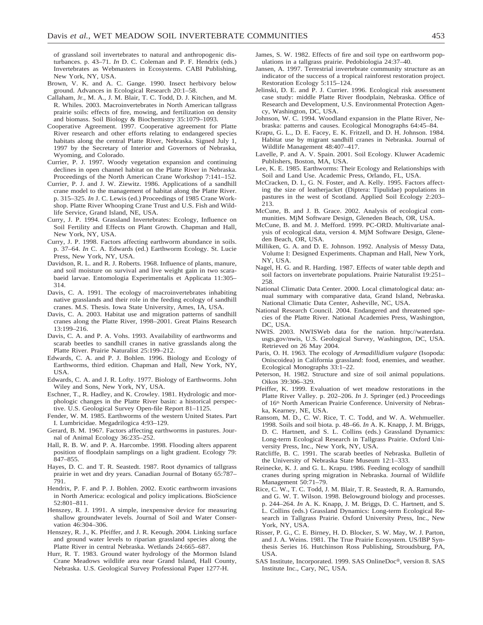of grassland soil invertebrates to natural and anthropogenic disturbances. p. 43–71. *In* D. C. Coleman and P. F. Hendrix (eds.) Invertebrates as Webmasters in Ecosystems. CABI Publishing, New York, NY, USA.

- Brown, V. K. and A. C. Gange. 1990. Insect herbivory below ground. Advances in Ecological Research 20:1–58.
- Callaham, Jr., M. A., J. M. Blair, T. C. Todd, D. J. Kitchen, and M. R. Whiles. 2003. Macroinvertebrates in North American tallgrass prairie soils: effects of fire, mowing, and fertilization on density and biomass. Soil Biology & Biochemistry 35:1079–1093.
- Cooperative Agreement. 1997. Cooperative agreement for Platte River research and other efforts relating to endangered species habitats along the central Platte River, Nebraska. Signed July 1, 1997 by the Secretary of Interior and Governors of Nebraska, Wyoming, and Colorado.
- Currier, P. J. 1997. Woody vegetation expansion and continuing declines in open channel habitat on the Platte River in Nebraska. Proceedings of the North American Crane Workshop 7:141–152.
- Currier, P. J. and J. W. Ziewitz. 1986. Applications of a sandhill crane model to the management of habitat along the Platte River. p. 315–325. *In* J. C. Lewis (ed.) Proceedings of 1985 Crane Workshop. Platte River Whooping Crane Trust and U.S. Fish and Wildlife Service, Grand Island, NE, USA.
- Curry, J. P. 1994. Grassland Invertebrates: Ecology, Influence on Soil Fertility and Effects on Plant Growth. Chapman and Hall, New York, NY, USA.
- Curry, J. P. 1998. Factors affecting earthworm abundance in soils. p. 37–64. *In* C. A. Edwards (ed.) Earthworm Ecology. St. Lucie Press, New York, NY, USA.
- Davidson, R. L. and R. J. Roberts. 1968. Influence of plants, manure, and soil moisture on survival and live weight gain in two scarabaeid larvae. Entomologia Experimentalis et Applicata 11:305– 314.
- Davis, C. A. 1991. The ecology of macroinvertebrates inhabiting native grasslands and their role in the feeding ecology of sandhill cranes. M.S. Thesis. Iowa State University, Ames, IA, USA.
- Davis, C. A. 2003. Habitat use and migration patterns of sandhill cranes along the Platte River, 1998–2001. Great Plains Research 13:199–216.
- Davis, C. A. and P. A. Vohs. 1993. Availability of earthworms and scarab beetles to sandhill cranes in native grasslands along the Platte River. Prairie Naturalist 25:199–212.
- Edwards, C. A. and P. J. Bohlen. 1996. Biology and Ecology of Earthworms, third edition. Chapman and Hall, New York, NY, USA.
- Edwards, C. A. and J. R. Lofty. 1977. Biology of Earthworms. John Wiley and Sons, New York, NY, USA.
- Eschner, T., R. Hadley, and K. Crowley. 1981. Hydrologic and morphologic changes in the Platte River basin: a historical perspective. U.S. Geological Survey Open-file Report 81–1125.
- Fender, W. M. 1985. Earthworms of the western United States. Part I. Lumbricidae. Megadrilogica 4:93–129.
- Gerard, B. M. 1967. Factors affecting earthworms in pastures. Journal of Animal Ecology 36:235–252.
- Hall, R. B. W. and P. A. Harcombe. 1998. Flooding alters apparent position of floodplain samplings on a light gradient. Ecology 79: 847–855.
- Hayes, D. C. and T. R. Seastedt. 1987. Root dynamics of tallgrass prairie in wet and dry years. Canadian Journal of Botany 65:787– 791.
- Hendrix, P. F. and P. J. Bohlen. 2002. Exotic earthworm invasions in North America: ecological and policy implications. BioScience 52:801–811.
- Henszey, R. J. 1991. A simple, inexpensive device for measuring shallow groundwater levels. Journal of Soil and Water Conservation 46:304–306.
- Henszey, R. J., K. Pfeiffer, and J. R. Keough. 2004. Linking surface and ground water levels to riparian grassland species along the Platte River in central Nebraska. Wetlands 24:665–687.
- Hurr, R. T. 1983. Ground water hydrology of the Mormon Island Crane Meadows wildlife area near Grand Island, Hall County, Nebraska. U.S. Geological Survey Professional Paper 1277-H.
- James, S. W. 1982. Effects of fire and soil type on earthworm populations in a tallgrass prairie. Pedobiologia 24:37–40.
- Jansen, A. 1997. Terrestrial invertebrate community structure as an indicator of the success of a tropical rainforest restoration project. Restoration Ecology 5:115–124.
- Jelinski, D. E. and P. J. Currier. 1996. Ecological risk assessment case study: middle Platte River floodplain, Nebraska. Office of Research and Development, U.S. Environmental Protection Agency, Washington, DC, USA.
- Johnson, W. C. 1994. Woodland expansion in the Platte River, Nebraska: patterns and causes. Ecological Monographs 64:45–84.
- Krapu, G. L., D. E. Facey, E. K. Fritzell, and D. H. Johnson. 1984. Habitat use by migrant sandhill cranes in Nebraska. Journal of Wildlife Management 48:407–417.
- Lavelle, P. and A. V. Spain. 2001. Soil Ecology. Kluwer Academic Publishers, Boston, MA, USA.
- Lee, K. E. 1985. Earthworms: Their Ecology and Relationships with Soil and Land Use. Academic Press, Orlando, FL, USA.
- McCracken, D. I., G. N. Foster, and A. Kelly. 1995. Factors affecting the size of leatherjacket (Diptera: Tipulidae) populations in pastures in the west of Scotland. Applied Soil Ecology 2:203– 213.
- McCune, B. and J. B. Grace. 2002. Analysis of ecological communities. MjM Software Design, Gleneden Beach, OR, USA.
- McCune, B. and M. J. Mefford. 1999. PC-ORD. Multivariate analysis of ecological data, version 4. MjM Software Design, Gleneden Beach, OR, USA.
- Milliken, G. A. and D. E. Johnson. 1992. Analysis of Messy Data, Volume I: Designed Experiments. Chapman and Hall, New York, NY, USA.
- Nagel, H. G. and R. Harding. 1987. Effects of water table depth and soil factors on invertebrate populations. Prairie Naturalist 19:251– 258.
- National Climatic Data Center. 2000. Local climatological data: annual summary with comparative data, Grand Island, Nebraska. National Climatic Data Center, Asheville, NC, USA.
- National Research Council. 2004. Endangered and threatened species of the Platte River. National Academies Press, Washington, DC, USA.
- NWIS. 2003. NWISWeb data for the nation. http://waterdata. usgs.gov/nwis, U.S. Geological Survey, Washington, DC, USA. Retrieved on 26 May 2004.
- Paris, O. H. 1963. The ecology of *Armadillidium vulgare* (Isopoda: Oniscoidea) in California grassland: food, enemies, and weather. Ecological Monographs 33:1–22.
- Peterson, H. 1982. Structure and size of soil animal populations. Oikos 39:306–329.
- Pfeiffer, K. 1999. Evaluation of wet meadow restorations in the Platte River Valley. p. 202–206. *In* J. Springer (ed.) Proceedings of 16<sup>th</sup> North American Prairie Conference. University of Nebraska, Kearney, NE, USA.
- Ransom, M. D., C. W. Rice, T. C. Todd, and W. A. Wehmueller. 1998. Soils and soil biota. p. 48–66. *In* A. K. Knapp, J. M. Briggs, D. C. Hartnett, and S. L. Collins (eds.) Grassland Dynamics: Long-term Ecological Research in Tallgrass Prairie. Oxford University Press, Inc., New York, NY, USA.
- Ratcliffe, B. C. 1991. The scarab beetles of Nebraska. Bulletin of the University of Nebraska State Museum 12:1–333.
- Reinecke, K. J. and G. L. Krapu. 1986. Feeding ecology of sandhill cranes during spring migration in Nebraska. Journal of Wildlife Management 50:71–79.
- Rice, C. W., T. C. Todd, J. M. Blair, T. R. Seastedt, R. A. Ramundo, and G. W. T. Wilson. 1998. Belowground biology and processes. p. 244–264. *In* A. K. Knapp, J. M. Briggs, D. C. Hartnett, and S. L. Collins (eds.) Grassland Dynamics: Long-term Ecological Research in Tallgrass Prairie. Oxford University Press, Inc., New York, NY, USA.
- Risser, P. G., C. E. Birney, H. D. Blocker, S. W. May, W. J. Parton, and J. A. Weins. 1981. The True Prairie Ecosystem. US/IBP Synthesis Series 16. Hutchinson Ross Publishing, Stroudsburg, PA, USA.
- SAS Institute, Incorporated. 1999. SAS OnlineDoc®, version 8. SAS Institute Inc., Cary, NC, USA.